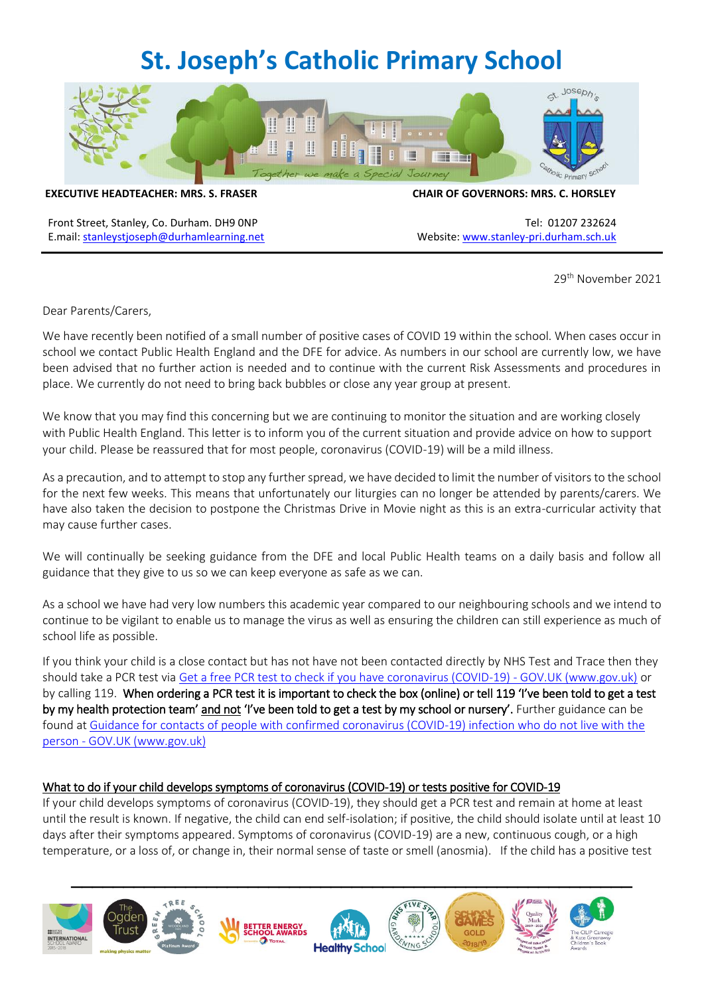# **St. Joseph's Catholic Primary School**



**EXECUTIVE HEADTEACHER: MRS. S. FRASER CHAIR OF GOVERNORS: MRS. C. HORSLEY**

Front Street, Stanley, Co. Durham. DH9 0NP Tel: 01207 232624 E.mail: [stanleystjoseph@durhamlearning.net](mailto:stanleystjoseph@durhamlearning.net) Website[: www.stanley-pri.durham.sch.uk](http://www.stanley-pri.durham.sch.uk/)

29th November 2021

Dear Parents/Carers,

We have recently been notified of a small number of positive cases of COVID 19 within the school. When cases occur in school we contact Public Health England and the DFE for advice. As numbers in our school are currently low, we have been advised that no further action is needed and to continue with the current Risk Assessments and procedures in place. We currently do not need to bring back bubbles or close any year group at present.

We know that you may find this concerning but we are continuing to monitor the situation and are working closely with Public Health England. This letter is to inform you of the current situation and provide advice on how to support your child. Please be reassured that for most people, coronavirus (COVID-19) will be a mild illness.

As a precaution, and to attempt to stop any further spread, we have decided to limit the number of visitors to the school for the next few weeks. This means that unfortunately our liturgies can no longer be attended by parents/carers. We have also taken the decision to postpone the Christmas Drive in Movie night as this is an extra-curricular activity that may cause further cases.

We will continually be seeking guidance from the DFE and local Public Health teams on a daily basis and follow all guidance that they give to us so we can keep everyone as safe as we can.

As a school we have had very low numbers this academic year compared to our neighbouring schools and we intend to continue to be vigilant to enable us to manage the virus as well as ensuring the children can still experience as much of school life as possible.

If you think your child is a close contact but has not have not been contacted directly by NHS Test and Trace then they should take a PCR test via [Get a free PCR test to check if you have coronavirus \(COVID-19\) -](https://www.gov.uk/get-coronavirus-test) GOV.UK (www.gov.uk) or by calling 119. When ordering a PCR test it is important to check the box (online) or tell 119 'I've been told to get a test by my health protection team' and not 'I've been told to get a test by my school or nursery'. Further guidance can be found at [Guidance for contacts of people with confirmed coronavirus \(COVID-19\) infection who do not live with the](https://www.gov.uk/government/publications/guidance-for-contacts-of-people-with-possible-or-confirmed-coronavirus-covid-19-infection-who-do-not-live-with-the-person/guidance-for-contacts-of-people-with-possible-or-confirmed-coronavirus-covid-19-infection-who-do-not-live-with-the-person#i-think-i-have-had-contact-with-someone-who-has-tested-positive-for-covid-19-but-i-have-not-been-notified-and-advised-to-self-isolate-what-should-i-do)  person - [GOV.UK \(www.gov.uk\)](https://www.gov.uk/government/publications/guidance-for-contacts-of-people-with-possible-or-confirmed-coronavirus-covid-19-infection-who-do-not-live-with-the-person/guidance-for-contacts-of-people-with-possible-or-confirmed-coronavirus-covid-19-infection-who-do-not-live-with-the-person#i-think-i-have-had-contact-with-someone-who-has-tested-positive-for-covid-19-but-i-have-not-been-notified-and-advised-to-self-isolate-what-should-i-do)

# What to do if your child develops symptoms of coronavirus (COVID-19) or tests positive for COVID-19

If your child develops symptoms of coronavirus (COVID-19), they should get a PCR test and remain at home at least until the result is known. If negative, the child can end self-isolation; if positive, the child should isolate until at least 10 days after their symptoms appeared. Symptoms of coronavirus (COVID-19) are a new, continuous cough, or a high temperature, or a loss of, or change in, their normal sense of taste or smell (anosmia). If the child has a positive test

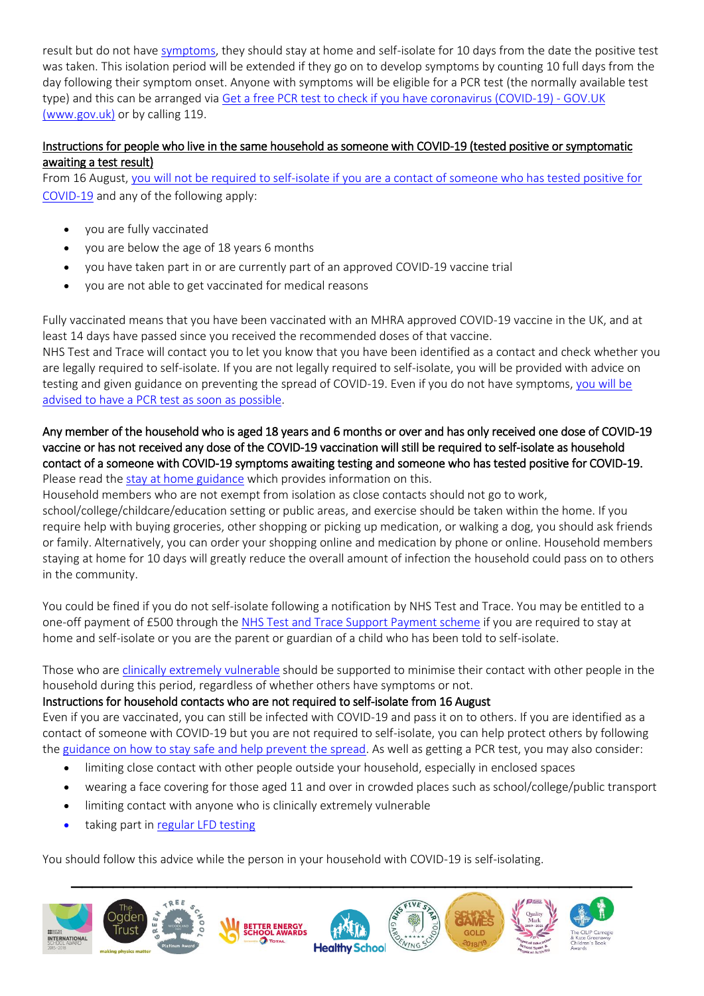result but do not have [symptoms,](https://www.gov.uk/government/publications/covid-19-stay-at-home-guidance/stay-at-home-guidance-for-households-with-possible-coronavirus-covid-19-infection#symptoms) they should stay at home and self-isolate for 10 days from the date the positive test was taken. This isolation period will be extended if they go on to develop symptoms by counting 10 full days from the day following their symptom onset. Anyone with symptoms will be eligible for a PCR test (the normally available test type) and this can be arranged via [Get a free PCR test to check if you have coronavirus \(COVID-19\) -](https://www.gov.uk/get-coronavirus-test) GOV.UK [\(www.gov.uk\)](https://www.gov.uk/get-coronavirus-test) or by calling 119.

## Instructions for people who live in the same household as someone with COVID-19 (tested positive or symptomatic awaiting a test result)

From 16 August, [you will not be required to self-isolate if you are a contact of someone who has tested positive for](https://www.gov.uk/government/publications/covid-19-stay-at-home-guidance/stay-at-home-guidance-for-households-with-possible-coronavirus-covid-19-infection#exempt)  [COVID-19](https://www.gov.uk/government/publications/covid-19-stay-at-home-guidance/stay-at-home-guidance-for-households-with-possible-coronavirus-covid-19-infection#exempt) and any of the following apply:

- you are fully vaccinated
- you are below the age of 18 years 6 months
- you have taken part in or are currently part of an approved COVID-19 vaccine trial
- you are not able to get vaccinated for medical reasons

Fully vaccinated means that you have been vaccinated with an MHRA approved COVID-19 vaccine in the UK, and at least 14 days have passed since you received the recommended doses of that vaccine.

NHS Test and Trace will contact you to let you know that you have been identified as a contact and check whether you are legally required to self-isolate. If you are not legally required to self-isolate, you will be provided with advice on testing and given guidance on preventing the spread of COVID-19. Even if you do not have symptoms, [you will be](https://www.gov.uk/government/publications/covid-19-stay-at-home-guidance/stay-at-home-guidance-for-households-with-possible-coronavirus-covid-19-infection#PCR)  advised to have a PCR [test as soon as possible.](https://www.gov.uk/government/publications/covid-19-stay-at-home-guidance/stay-at-home-guidance-for-households-with-possible-coronavirus-covid-19-infection#PCR)

### Any member of the household who is aged 18 years and 6 months or over and has only received one dose of COVID-19 vaccine or has not received any dose of the COVID-19 vaccination will still be required to self-isolate as household contact of a someone with COVID-19 symptoms awaiting testing and someone who has tested positive for COVID-19. Please read th[e stay at home guidance](https://www.gov.uk/government/publications/covid-19-stay-at-home-guidance) which provides information on this.

Household members who are not exempt from isolation as close contacts should not go to work,

school/college/childcare/education setting or public areas, and exercise should be taken within the home. If you require help with buying groceries, other shopping or picking up medication, or walking a dog, you should ask friends or family. Alternatively, you can order your shopping online and medication by phone or online. Household members staying at home for 10 days will greatly reduce the overall amount of infection the household could pass on to others in the community.

You could be fined if you do not self-isolate following a notification by NHS Test and Trace. You may be entitled to a one-off payment of £500 through the [NHS Test and Trace Support Payment scheme](https://www.gov.uk/government/publications/test-and-trace-support-payment-scheme-claiming-financial-support/claiming-financial-support-under-the-test-and-trace-support-payment-scheme) if you are required to stay at home and self-isolate or you are the parent or guardian of a child who has been told to self-isolate.

Those who are [clinically extremely vulnerable](https://www.gov.uk/government/publications/guidance-on-shielding-and-protecting-extremely-vulnerable-persons-from-covid-19/guidance-on-shielding-and-protecting-extremely-vulnerable-persons-from-covid-19) should be supported to minimise their contact with other people in the household during this period, regardless of whether others have symptoms or not.

# Instructions for household contacts who are not required to self-isolate from 16 August

Even if you are vaccinated, you can still be infected with COVID-19 and pass it on to others. If you are identified as a contact of someone with COVID-19 but you are not required to self-isolate, you can help protect others by following the [guidance on how to stay safe and help prevent the spread.](https://www.gov.uk/guidance/covid-19-coronavirus-restrictions-what-you-can-and-cannot-do#keeping-yourself-and-others-safe) As well as getting a PCR test, you may also consider:

- limiting close contact with other people outside your household, especially in enclosed spaces
- wearing a face covering for those aged 11 and over in crowded places such as school/college/public transport
- limiting contact with anyone who is clinically extremely vulnerable
- taking part in [regular](https://www.gov.uk/order-coronavirus-rapid-lateral-flow-tests) LFD testing

You should follow this advice while the person in your household with COVID-19 is self-isolating.